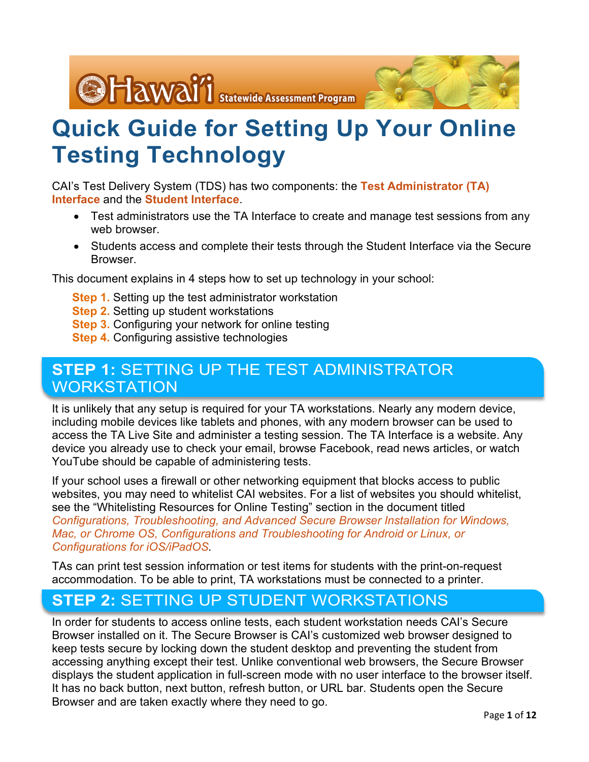

# **Quick Guide for Setting Up Your Online Testing Technology**

CAI's Test Delivery System (TDS) has two components: the **Test Administrator (TA) Interface** and the **Student Interface**.

- Test administrators use the TA Interface to create and manage test sessions from any web browser.
- Students access and complete their tests through the Student Interface via the Secure **Browser**

This document explains in 4 steps how to set up technology in your school:

- **Step 1.** Setting up the test administrator workstation
- **Step 2.** Setting up student workstations
- **Step 3.** Configuring your network for online testing
- **Step 4.** Configuring assistive technologies

# **STEP 1:** SETTING UP THE TEST ADMINISTRATOR WORKSTATION

It is unlikely that any setup is required for your TA workstations. Nearly any modern device, including mobile devices like tablets and phones, with any modern browser can be used to access the TA Live Site and administer a testing session. The TA Interface is a website. Any device you already use to check your email, browse Facebook, read news articles, or watch YouTube should be capable of administering tests.

If your school uses a firewall or other networking equipment that blocks access to public websites, you may need to whitelist CAI websites. For a list of websites you should whitelist, see the "Whitelisting Resources for Online Testing" section in the document titled *Configurations, Troubleshooting, and Advanced Secure Browser Installation for Windows, Mac, or Chrome OS, Configurations and Troubleshooting for Android or Linux, or Configurations for iOS/iPadOS.*

TAs can print test session information or test items for students with the print-on-request accommodation. To be able to print, TA workstations must be connected to a printer.

# **STEP 2:** SETTING UP STUDENT WORKSTATIONS

In order for students to access online tests, each student workstation needs CAI's Secure Browser installed on it. The Secure Browser is CAI's customized web browser designed to keep tests secure by locking down the student desktop and preventing the student from accessing anything except their test. Unlike conventional web browsers, the Secure Browser displays the student application in full-screen mode with no user interface to the browser itself. It has no back button, next button, refresh button, or URL bar. Students open the Secure Browser and are taken exactly where they need to go.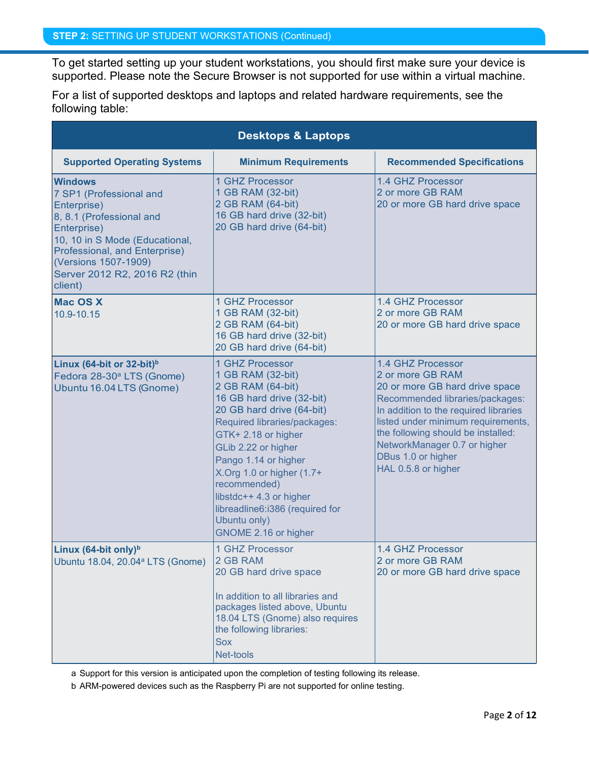To get started setting up your student workstations, you should first make sure your device is supported. Please note the Secure Browser is not supported for use within a virtual machine.

For a list of supported desktops and laptops and related hardware requirements, see the following table:

|                                                                                                                                                                                                                                            | <b>Desktops &amp; Laptops</b>                                                                                                                                                                                                                                                                                                                                                  |                                                                                                                                                                                                                                                                                                              |
|--------------------------------------------------------------------------------------------------------------------------------------------------------------------------------------------------------------------------------------------|--------------------------------------------------------------------------------------------------------------------------------------------------------------------------------------------------------------------------------------------------------------------------------------------------------------------------------------------------------------------------------|--------------------------------------------------------------------------------------------------------------------------------------------------------------------------------------------------------------------------------------------------------------------------------------------------------------|
| <b>Supported Operating Systems</b>                                                                                                                                                                                                         | <b>Minimum Requirements</b>                                                                                                                                                                                                                                                                                                                                                    | <b>Recommended Specifications</b>                                                                                                                                                                                                                                                                            |
| <b>Windows</b><br>7 SP1 (Professional and<br>Enterprise)<br>8, 8.1 (Professional and<br>Enterprise)<br>10, 10 in S Mode (Educational,<br>Professional, and Enterprise)<br>(Versions 1507-1909)<br>Server 2012 R2, 2016 R2 (thin<br>client) | 1 GHZ Processor<br>1 GB RAM (32-bit)<br>2 GB RAM (64-bit)<br>16 GB hard drive (32-bit)<br>20 GB hard drive (64-bit)                                                                                                                                                                                                                                                            | 1.4 GHZ Processor<br>2 or more GB RAM<br>20 or more GB hard drive space                                                                                                                                                                                                                                      |
| <b>Mac OS X</b><br>10.9-10.15                                                                                                                                                                                                              | 1 GHZ Processor<br>1 GB RAM (32-bit)<br>2 GB RAM (64-bit)<br>16 GB hard drive (32-bit)<br>20 GB hard drive (64-bit)                                                                                                                                                                                                                                                            | 1.4 GHZ Processor<br>2 or more GB RAM<br>20 or more GB hard drive space                                                                                                                                                                                                                                      |
| Linux (64-bit or $32$ -bit) <sup>b</sup><br>Fedora 28-30 <sup>ª</sup> LTS (Gnome)<br>Ubuntu 16.04 LTS (Gnome)                                                                                                                              | 1 GHZ Processor<br>1 GB RAM (32-bit)<br>2 GB RAM (64-bit)<br>16 GB hard drive (32-bit)<br>20 GB hard drive (64-bit)<br>Required libraries/packages:<br>GTK+2.18 or higher<br>GLib 2.22 or higher<br>Pango 1.14 or higher<br>X.Org 1.0 or higher $(1.7+)$<br>recommended)<br>libstdc++ 4.3 or higher<br>libreadline6:i386 (required for<br>Ubuntu only)<br>GNOME 2.16 or higher | 1.4 GHZ Processor<br>2 or more GB RAM<br>20 or more GB hard drive space<br>Recommended libraries/packages:<br>In addition to the required libraries<br>listed under minimum requirements,<br>the following should be installed:<br>NetworkManager 0.7 or higher<br>DBus 1.0 or higher<br>HAL 0.5.8 or higher |
| Linux (64-bit only) <sup>b</sup><br>Ubuntu 18.04, 20.04 <sup>a</sup> LTS (Gnome)                                                                                                                                                           | 1 GHZ Processor<br>2 GB RAM<br>20 GB hard drive space<br>In addition to all libraries and<br>packages listed above, Ubuntu<br>18.04 LTS (Gnome) also requires<br>the following libraries:<br><b>Sox</b><br>Net-tools                                                                                                                                                           | 1.4 GHZ Processor<br>2 or more GB RAM<br>20 or more GB hard drive space                                                                                                                                                                                                                                      |

<span id="page-1-1"></span>a Support for this version is anticipated upon the completion of testing following its release.

<span id="page-1-0"></span>b ARM-powered devices such as the Raspberry Pi are not supported for online testing.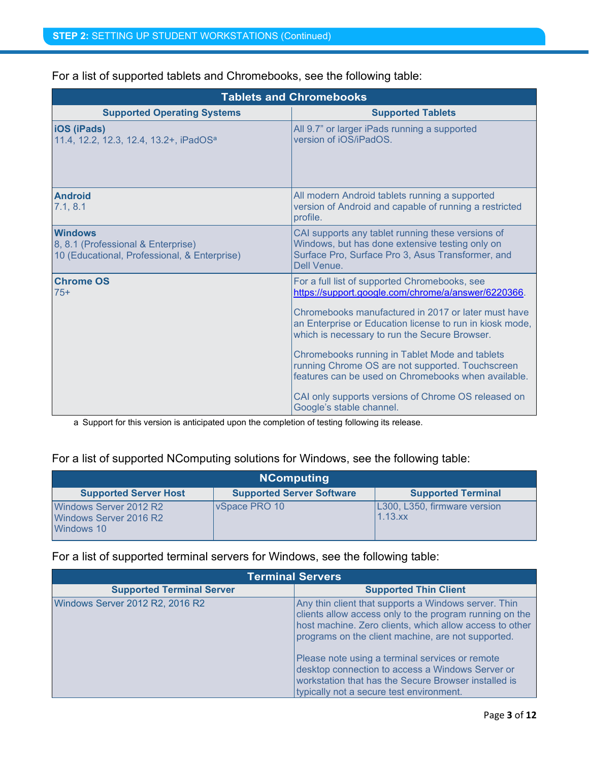|                                                                                                      | <b>Tablets and Chromebooks</b>                                                                                                                                                                                                                                                                                                                                                                                                                                                                                           |
|------------------------------------------------------------------------------------------------------|--------------------------------------------------------------------------------------------------------------------------------------------------------------------------------------------------------------------------------------------------------------------------------------------------------------------------------------------------------------------------------------------------------------------------------------------------------------------------------------------------------------------------|
| <b>Supported Operating Systems</b>                                                                   | <b>Supported Tablets</b>                                                                                                                                                                                                                                                                                                                                                                                                                                                                                                 |
| <b>iOS</b> (iPads)<br>11.4, 12.2, 12.3, 12.4, 13.2+, iPadOS <sup>a</sup>                             | All 9.7" or larger iPads running a supported<br>version of iOS/iPadOS.                                                                                                                                                                                                                                                                                                                                                                                                                                                   |
| <b>Android</b><br>7.1, 8.1                                                                           | All modern Android tablets running a supported<br>version of Android and capable of running a restricted<br>profile.                                                                                                                                                                                                                                                                                                                                                                                                     |
| <b>Windows</b><br>8, 8.1 (Professional & Enterprise)<br>10 (Educational, Professional, & Enterprise) | CAI supports any tablet running these versions of<br>Windows, but has done extensive testing only on<br>Surface Pro, Surface Pro 3, Asus Transformer, and<br>Dell Venue.                                                                                                                                                                                                                                                                                                                                                 |
| <b>Chrome OS</b><br>$75+$                                                                            | For a full list of supported Chromebooks, see<br>https://support.google.com/chrome/a/answer/6220366.<br>Chromebooks manufactured in 2017 or later must have<br>an Enterprise or Education license to run in kiosk mode,<br>which is necessary to run the Secure Browser.<br>Chromebooks running in Tablet Mode and tablets<br>running Chrome OS are not supported. Touchscreen<br>features can be used on Chromebooks when available.<br>CAI only supports versions of Chrome OS released on<br>Google's stable channel. |

For a list of supported tablets and Chromebooks, see the following table:

a Support for this version is anticipated upon the completion of testing following its release.

#### For a list of supported NComputing solutions for Windows, see the following table:

|                                                                | <b>NComputing</b>                |                                            |  |  |  |
|----------------------------------------------------------------|----------------------------------|--------------------------------------------|--|--|--|
| <b>Supported Server Host</b>                                   | <b>Supported Server Software</b> | <b>Supported Terminal</b>                  |  |  |  |
| Windows Server 2012 R2<br>Windows Server 2016 R2<br>Windows 10 | VSpace PRO 10                    | L300, L350, firmware version<br>$1.13$ .xx |  |  |  |

#### For a list of supported terminal servers for Windows, see the following table:

|                                  | <b>Terminal Servers</b>                                                                                                                                                                                                          |
|----------------------------------|----------------------------------------------------------------------------------------------------------------------------------------------------------------------------------------------------------------------------------|
| <b>Supported Terminal Server</b> | <b>Supported Thin Client</b>                                                                                                                                                                                                     |
| Windows Server 2012 R2, 2016 R2  | Any thin client that supports a Windows server. Thin<br>clients allow access only to the program running on the<br>host machine. Zero clients, which allow access to other<br>programs on the client machine, are not supported. |
|                                  | Please note using a terminal services or remote<br>desktop connection to access a Windows Server or<br>workstation that has the Secure Browser installed is<br>typically not a secure test environment.                          |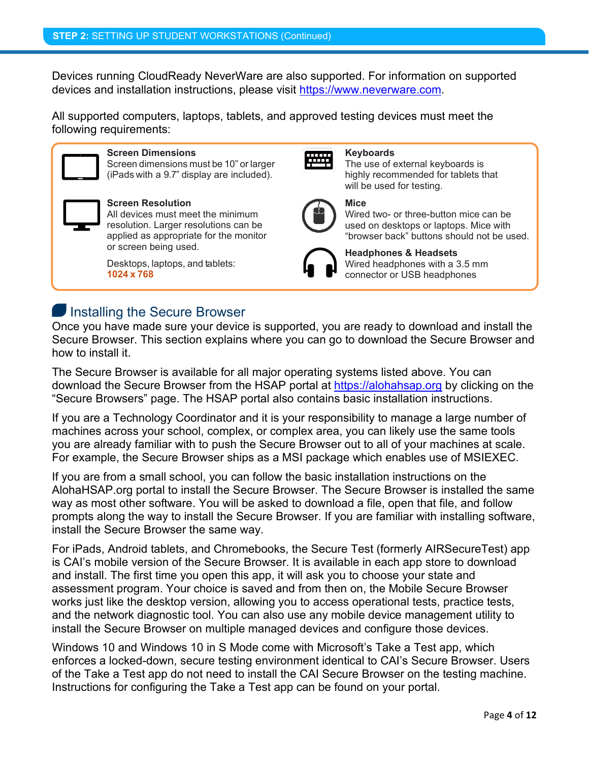Devices running CloudReady NeverWare are also supported. For information on supported devices and installation instructions, please visit [https://www.neverware.com.](https://www.neverware.com/)

All supported computers, laptops, tablets, and approved testing devices must meet the following requirements:



#### **Screen Dimensions**

Screen dimensions must be 10" or larger (iPads with a 9.7" display are included).



#### **Screen Resolution**

All devices must meet the minimum resolution. Larger resolutions can be applied as appropriate for the monitor or screen being used.

Desktops, laptops, and tablets: **1024 x 768**



#### **Keyboards**

The use of external keyboards is highly recommended for tablets that will be used for testing.



#### **Mice**

Wired two- or three-button mice can be used on desktops or laptops. Mice with "browser back" buttons should not be used.



**Headphones & Headsets** Wired headphones with a 3.5 mm connector or USB headphones

### **Installing the Secure Browser**

Once you have made sure your device is supported, you are ready to download and install the Secure Browser. This section explains where you can go to download the Secure Browser and how to install it.

The Secure Browser is available for all major operating systems listed above. You can download the Secure Browser from the HSAP portal at [https://alohahsap.org](https://alohahsap.org/) by clicking on the "Secure Browsers" page. The HSAP portal also contains basic installation instructions.

If you are a Technology Coordinator and it is your responsibility to manage a large number of machines across your school, complex, or complex area, you can likely use the same tools you are already familiar with to push the Secure Browser out to all of your machines at scale. For example, the Secure Browser ships as a MSI package which enables use of MSIEXEC.

If you are from a small school, you can follow the basic installation instructions on the AlohaHSAP.org portal to install the Secure Browser. The Secure Browser is installed the same way as most other software. You will be asked to download a file, open that file, and follow prompts along the way to install the Secure Browser. If you are familiar with installing software, install the Secure Browser the same way.

For iPads, Android tablets, and Chromebooks, the Secure Test (formerly AIRSecureTest) app is CAI's mobile version of the Secure Browser. It is available in each app store to download and install. The first time you open this app, it will ask you to choose your state and assessment program. Your choice is saved and from then on, the Mobile Secure Browser works just like the desktop version, allowing you to access operational tests, practice tests, and the network diagnostic tool. You can also use any mobile device management utility to install the Secure Browser on multiple managed devices and configure those devices.

Windows 10 and Windows 10 in S Mode come with Microsoft's Take a Test app, which enforces a locked-down, secure testing environment identical to CAI's Secure Browser. Users of the Take a Test app do not need to install the CAI Secure Browser on the testing machine. Instructions for configuring the Take a Test app can be found on your portal.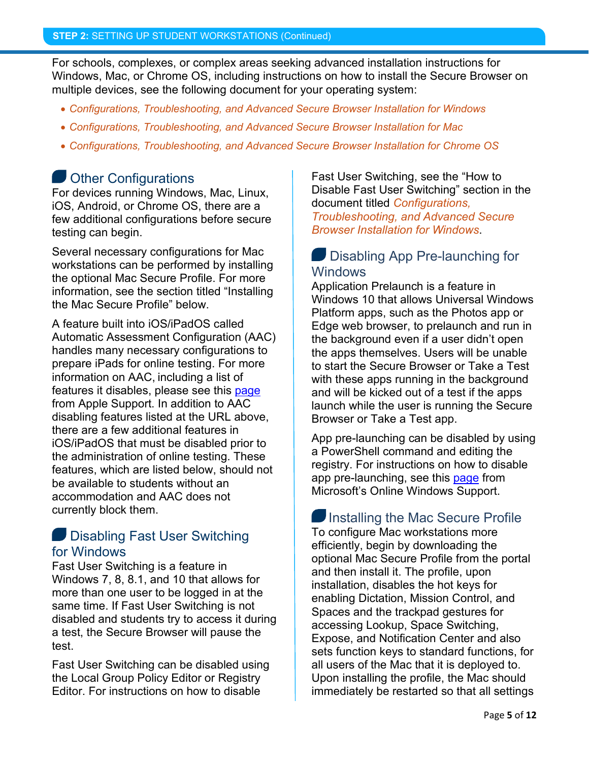For schools, complexes, or complex areas seeking advanced installation instructions for Windows, Mac, or Chrome OS, including instructions on how to install the Secure Browser on multiple devices, see the following document for your operating system:

- *Configurations, Troubleshooting, and Advanced Secure Browser Installation for Windows*
- *Configurations, Troubleshooting, and Advanced Secure Browser Installation for Mac*
- *Configurations, Troubleshooting, and Advanced Secure Browser Installation for Chrome OS*

#### **Other Configurations**

For devices running Windows, Mac, Linux, iOS, Android, or Chrome OS, there are a few additional configurations before secure testing can begin.

Several necessary configurations for Mac workstations can be performed by installing the optional Mac Secure Profile. For more information, see the section titled "Installing the Mac Secure Profile" below.

A feature built into iOS/iPadOS called Automatic Assessment Configuration (AAC) handles many necessary configurations to prepare iPads for online testing. For more information on AAC, including a list of features it disables, please see this [page](https://support.apple.com/en-us/HT204775#AAC) from Apple Support. In addition to AAC disabling features listed at the URL above, there are a few additional features in iOS/iPadOS that must be disabled prior to the administration of online testing. These features, which are listed below, should not be available to students without an accommodation and AAC does not currently block them.

#### Disabling Fast User Switching for Windows

Fast User Switching is a feature in Windows 7, 8, 8.1, and 10 that allows for more than one user to be logged in at the same time. If Fast User Switching is not disabled and students try to access it during a test, the Secure Browser will pause the test.

Fast User Switching can be disabled using the Local Group Policy Editor or Registry Editor. For instructions on how to disable

Fast User Switching, see the "How to Disable Fast User Switching" section in the document titled *Configurations, Troubleshooting, and Advanced Secure Browser Installation for Windows*.

#### **Disabling App Pre-launching for Windows**

Application Prelaunch is a feature in Windows 10 that allows Universal Windows Platform apps, such as the Photos app or Edge web browser, to prelaunch and run in the background even if a user didn't open the apps themselves. Users will be unable to start the Secure Browser or Take a Test with these apps running in the background and will be kicked out of a test if the apps launch while the user is running the Secure Browser or Take a Test app.

App pre-launching can be disabled by using a PowerShell command and editing the registry. For instructions on how to disable app pre-launching, see this [page](https://support.microsoft.com/en-us/help/4338725/k-12-assessment-unexpected-reports-apps-running-background-windows-10) from Microsoft's Online Windows Support.

Installing the Mac Secure Profile To configure Mac workstations more efficiently, begin by downloading the optional Mac Secure Profile from the portal and then install it. The profile, upon installation, disables the hot keys for enabling Dictation, Mission Control, and Spaces and the trackpad gestures for accessing Lookup, Space Switching, Expose, and Notification Center and also sets function keys to standard functions, for all users of the Mac that it is deployed to. Upon installing the profile, the Mac should immediately be restarted so that all settings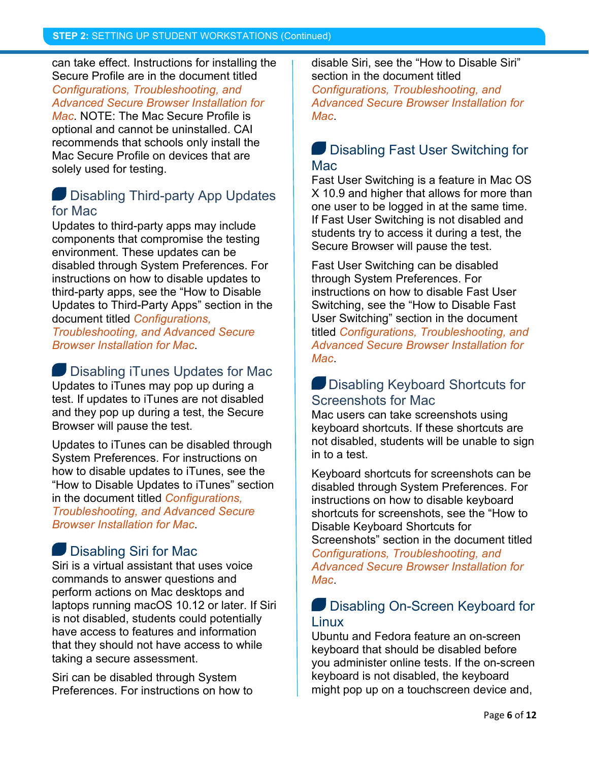can take effect. Instructions for installing the Secure Profile are in the document titled *Configurations, Troubleshooting, and Advanced Secure Browser Installation for* 

*Mac*. NOTE: The Mac Secure Profile is optional and cannot be uninstalled. CAI recommends that schools only install the Mac Secure Profile on devices that are solely used for testing.

### **Disabling Third-party App Updates** for Mac

Updates to third-party apps may include components that compromise the testing environment. These updates can be disabled through System Preferences. For instructions on how to disable updates to third-party apps, see the "How to Disable Updates to Third-Party Apps" section in the document titled *Configurations, Troubleshooting, and Advanced Secure* 

*Browser Installation for Mac*.

#### Disabling iTunes Updates for Mac Updates to iTunes may pop up during a test. If updates to iTunes are not disabled and they pop up during a test, the Secure Browser will pause the test.

Updates to iTunes can be disabled through System Preferences. For instructions on how to disable updates to iTunes, see the "How to Disable Updates to iTunes" section in the document titled *Configurations, Troubleshooting, and Advanced Secure Browser Installation for Mac*.

### Disabling Siri for Mac

Siri is a virtual assistant that uses voice commands to answer questions and perform actions on Mac desktops and laptops running macOS 10.12 or later. If Siri is not disabled, students could potentially have access to features and information that they should not have access to while taking a secure assessment.

Siri can be disabled through System Preferences. For instructions on how to disable Siri, see the "How to Disable Siri" section in the document titled *Configurations, Troubleshooting, and Advanced Secure Browser Installation for Mac*.

#### **Disabling Fast User Switching for** Mac

Fast User Switching is a feature in Mac OS X 10.9 and higher that allows for more than one user to be logged in at the same time. If Fast User Switching is not disabled and students try to access it during a test, the Secure Browser will pause the test.

Fast User Switching can be disabled through System Preferences. For instructions on how to disable Fast User Switching, see the "How to Disable Fast User Switching" section in the document titled *Configurations, Troubleshooting, and Advanced Secure Browser Installation for Mac*.

### **Disabling Keyboard Shortcuts for** Screenshots for Mac

Mac users can take screenshots using keyboard shortcuts. If these shortcuts are not disabled, students will be unable to sign in to a test.

Keyboard shortcuts for screenshots can be disabled through System Preferences. For instructions on how to disable keyboard shortcuts for screenshots, see the "How to Disable Keyboard Shortcuts for Screenshots" section in the document titled *Configurations, Troubleshooting, and Advanced Secure Browser Installation for Mac*.

### **Disabling On-Screen Keyboard for** Linux

Ubuntu and Fedora feature an on-screen keyboard that should be disabled before you administer online tests. If the on-screen keyboard is not disabled, the keyboard might pop up on a touchscreen device and,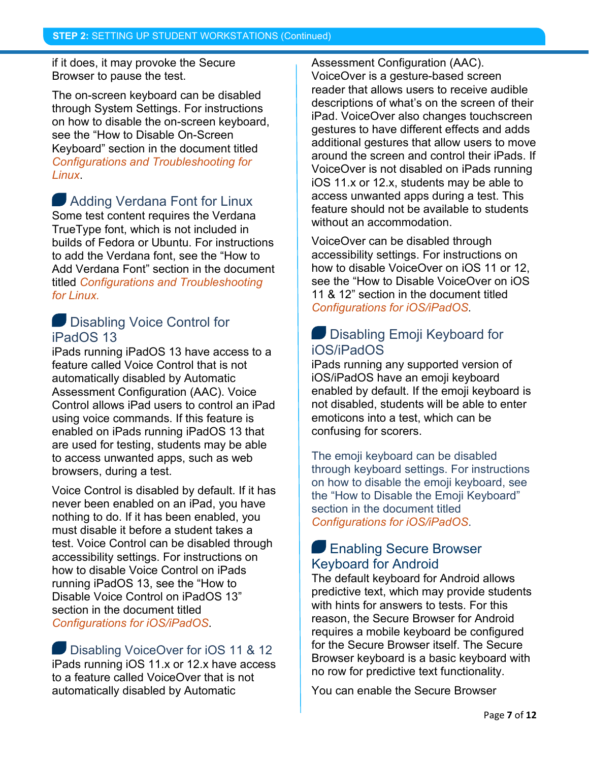if it does, it may provoke the Secure Browser to pause the test.

The on-screen keyboard can be disabled through System Settings. For instructions on how to disable the on-screen keyboard, see the "How to Disable On-Screen Keyboard" section in the document titled *Configurations and Troubleshooting for Linux*.

**Adding Verdana Font for Linux** Some test content requires the Verdana TrueType font, which is not included in builds of Fedora or Ubuntu. For instructions to add the Verdana font, see the "How to Add Verdana Font" section in the document titled *Configurations and Troubleshooting for Linux.*

#### **Disabling Voice Control for** iPadOS 13

iPads running iPadOS 13 have access to a feature called Voice Control that is not automatically disabled by Automatic Assessment Configuration (AAC). Voice Control allows iPad users to control an iPad using voice commands. If this feature is enabled on iPads running iPadOS 13 that are used for testing, students may be able to access unwanted apps, such as web browsers, during a test.

Voice Control is disabled by default. If it has never been enabled on an iPad, you have nothing to do. If it has been enabled, you must disable it before a student takes a test. Voice Control can be disabled through accessibility settings. For instructions on how to disable Voice Control on iPads running iPadOS 13, see the "How to Disable Voice Control on iPadOS 13" section in the document titled *Configurations for iOS/iPadOS*.

Disabling VoiceOver for iOS 11 & 12 iPads running iOS 11.x or 12.x have access to a feature called VoiceOver that is not automatically disabled by Automatic

Assessment Configuration (AAC). VoiceOver is a gesture-based screen reader that allows users to receive audible descriptions of what's on the screen of their iPad. VoiceOver also changes touchscreen gestures to have different effects and adds additional gestures that allow users to move around the screen and control their iPads. If VoiceOver is not disabled on iPads running iOS 11.x or 12.x, students may be able to access unwanted apps during a test. This feature should not be available to students without an accommodation.

VoiceOver can be disabled through accessibility settings. For instructions on how to disable VoiceOver on iOS 11 or 12, see the "How to Disable VoiceOver on iOS 11 & 12" section in the document titled *Configurations for iOS/iPadOS*.

#### **Disabling Emoji Keyboard for** iOS/iPadOS

iPads running any supported version of iOS/iPadOS have an emoji keyboard enabled by default. If the emoji keyboard is not disabled, students will be able to enter emoticons into a test, which can be confusing for scorers.

The emoji keyboard can be disabled through keyboard settings. For instructions on how to disable the emoji keyboard, see the "How to Disable the Emoji Keyboard" section in the document titled *Configurations for iOS/iPadOS*.

#### **Enabling Secure Browser** Keyboard for Android

The default keyboard for Android allows predictive text, which may provide students with hints for answers to tests. For this reason, the Secure Browser for Android requires a mobile keyboard be configured for the Secure Browser itself. The Secure Browser keyboard is a basic keyboard with no row for predictive text functionality.

You can enable the Secure Browser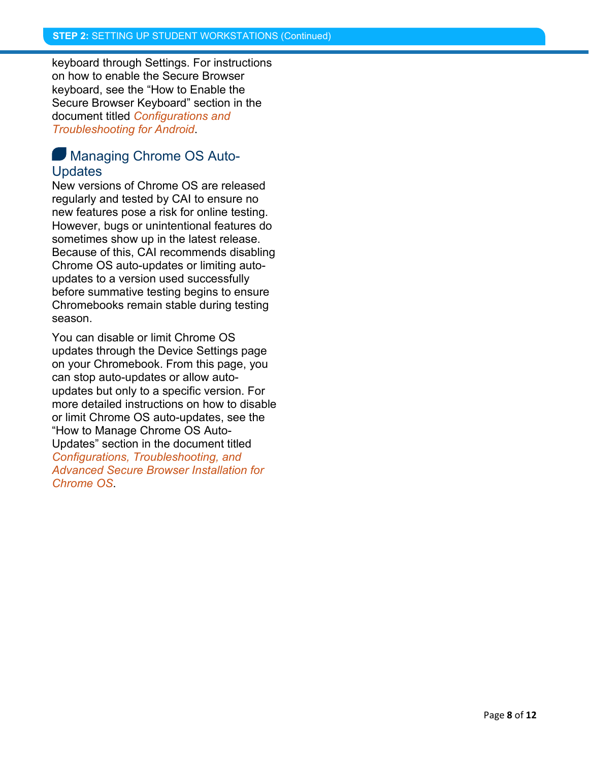keyboard through Settings. For instructions on how to enable the Secure Browser keyboard, see the "How to Enable the Secure Browser Keyboard" section in the document titled *Configurations and Troubleshooting for Android*.

#### **Managing Chrome OS Auto-Updates**

New versions of Chrome OS are released regularly and tested by CAI to ensure no new features pose a risk for online testing. However, bugs or unintentional features do sometimes show up in the latest release. Because of this, CAI recommends disabling Chrome OS auto-updates or limiting autoupdates to a version used successfully before summative testing begins to ensure Chromebooks remain stable during testing season.

You can disable or limit Chrome OS updates through the Device Settings page on your Chromebook. From this page, you can stop auto-updates or allow autoupdates but only to a specific version. For more detailed instructions on how to disable or limit Chrome OS auto-updates, see the "How to Manage Chrome OS Auto-Updates" section in the document titled *Configurations, Troubleshooting, and Advanced Secure Browser Installation for Chrome OS*.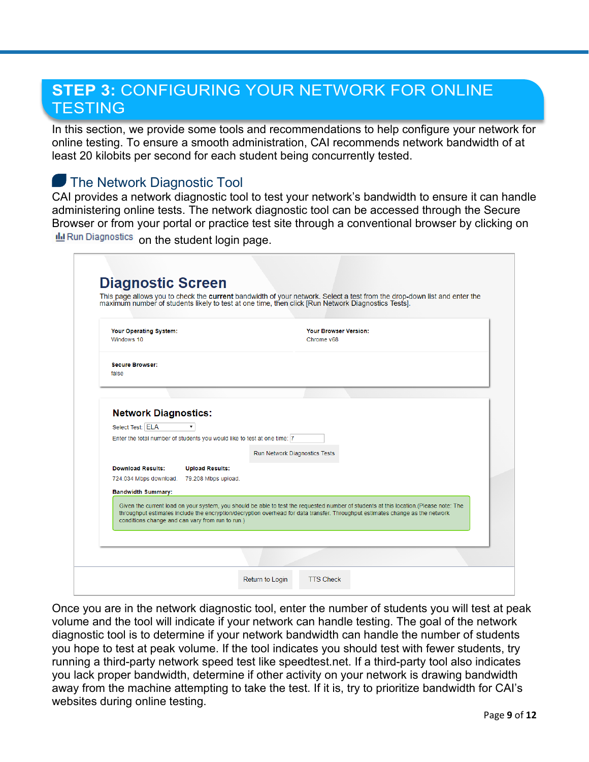# **STEP 3:** CONFIGURING YOUR NETWORK FOR ONLINE **TESTING**

In this section, we provide some tools and recommendations to help configure your network for online testing. To ensure a smooth administration, CAI recommends network bandwidth of at least 20 kilobits per second for each student being concurrently tested.

### **The Network Diagnostic Tool**

CAI provides a network diagnostic tool to test your network's bandwidth to ensure it can handle administering online tests. The network diagnostic tool can be accessed through the Secure Browser or from your portal or practice test site through a conventional browser by clicking on d Run Diagnostics on the student login page.

| Your Operating System:<br>Windows 10            |                                                                           |                                                  | <b>Your Browser Version:</b><br>Chrome v68                                                                                            |  |
|-------------------------------------------------|---------------------------------------------------------------------------|--------------------------------------------------|---------------------------------------------------------------------------------------------------------------------------------------|--|
| <b>Secure Browser:</b><br>false                 |                                                                           |                                                  |                                                                                                                                       |  |
|                                                 |                                                                           |                                                  |                                                                                                                                       |  |
|                                                 |                                                                           |                                                  |                                                                                                                                       |  |
| <b>Network Diagnostics:</b><br>Select Test: ELA | ▼                                                                         |                                                  |                                                                                                                                       |  |
|                                                 | Enter the total number of students you would like to test at one time:  7 |                                                  |                                                                                                                                       |  |
|                                                 |                                                                           |                                                  |                                                                                                                                       |  |
|                                                 |                                                                           | Run Network Diagnostics Tests                    |                                                                                                                                       |  |
| <b>Download Results:</b>                        | <b>Upload Results:</b>                                                    |                                                  |                                                                                                                                       |  |
| 724.034 Mbps download.                          | 79.208 Mbps upload.                                                       |                                                  |                                                                                                                                       |  |
| <b>Bandwidth Summary:</b>                       |                                                                           |                                                  |                                                                                                                                       |  |
|                                                 |                                                                           |                                                  | Given the current load on your system, you should be able to test the requested number of students at this location.(Please note: The |  |
|                                                 |                                                                           | conditions change and can vary from run to run.) | throughput estimates include the encryption/decryption overhead for data transfer. Throughput estimates change as the network         |  |

Once you are in the network diagnostic tool, enter the number of students you will test at peak volume and the tool will indicate if your network can handle testing. The goal of the network diagnostic tool is to determine if your network bandwidth can handle the number of students you hope to test at peak volume. If the tool indicates you should test with fewer students, try running a third-party network speed test like speedtest.net. If a third-party tool also indicates you lack proper bandwidth, determine if other activity on your network is drawing bandwidth away from the machine attempting to take the test. If it is, try to prioritize bandwidth for CAI's websites during online testing.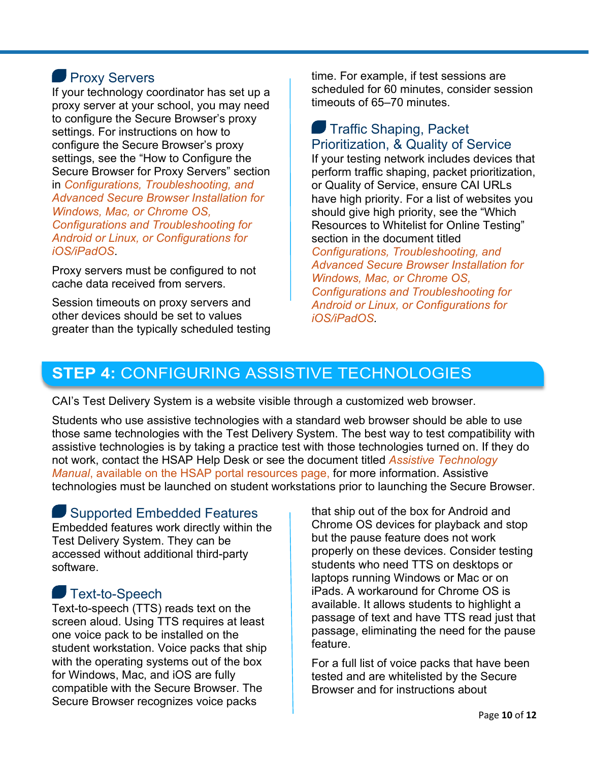### **Proxy Servers**

If your technology coordinator has set up a proxy server at your school, you may need to configure the Secure Browser's proxy settings. For instructions on how to configure the Secure Browser's proxy settings, see the "How to Configure the Secure Browser for Proxy Servers" section in *Configurations, Troubleshooting, and Advanced Secure Browser Installation for Windows, Mac, or Chrome OS, Configurations and Troubleshooting for Android or Linux, or Configurations for iOS/iPadOS*.

Proxy servers must be configured to not cache data received from servers.

Session timeouts on proxy servers and other devices should be set to values greater than the typically scheduled testing time. For example, if test sessions are scheduled for 60 minutes, consider session timeouts of 65–70 minutes.

### **Traffic Shaping, Packet** Prioritization, & Quality of Service

If your testing network includes devices that perform traffic shaping, packet prioritization, or Quality of Service, ensure CAI URLs have high priority. For a list of websites you should give high priority, see the "Which Resources to Whitelist for Online Testing" section in the document titled

*Configurations, Troubleshooting, and Advanced Secure Browser Installation for Windows, Mac, or Chrome OS, Configurations and Troubleshooting for Android or Linux, or Configurations for iOS/iPadOS.*

# **STEP 4:** CONFIGURING ASSISTIVE TECHNOLOGIES

CAI's Test Delivery System is a website visible through a customized web browser.

Students who use assistive technologies with a standard web browser should be able to use those same technologies with the Test Delivery System. The best way to test compatibility with assistive technologies is by taking a practice test with those technologies turned on. If they do not work, contact the HSAP Help Desk or see the document titled *Assistive Technology Manual*, available on the HSAP portal resources page, for more information. Assistive technologies must be launched on student workstations prior to launching the Secure Browser.

### Supported Embedded Features

Embedded features work directly within the Test Delivery System. They can be accessed without additional third-party software.

### Text-to-Speech

Text-to-speech (TTS) reads text on the screen aloud. Using TTS requires at least one voice pack to be installed on the student workstation. Voice packs that ship with the operating systems out of the box for Windows, Mac, and iOS are fully compatible with the Secure Browser. The Secure Browser recognizes voice packs

that ship out of the box for Android and Chrome OS devices for playback and stop but the pause feature does not work properly on these devices. Consider testing students who need TTS on desktops or laptops running Windows or Mac or on iPads. A workaround for Chrome OS is available. It allows students to highlight a passage of text and have TTS read just that passage, eliminating the need for the pause feature.

For a full list of voice packs that have been tested and are whitelisted by the Secure Browser and for instructions about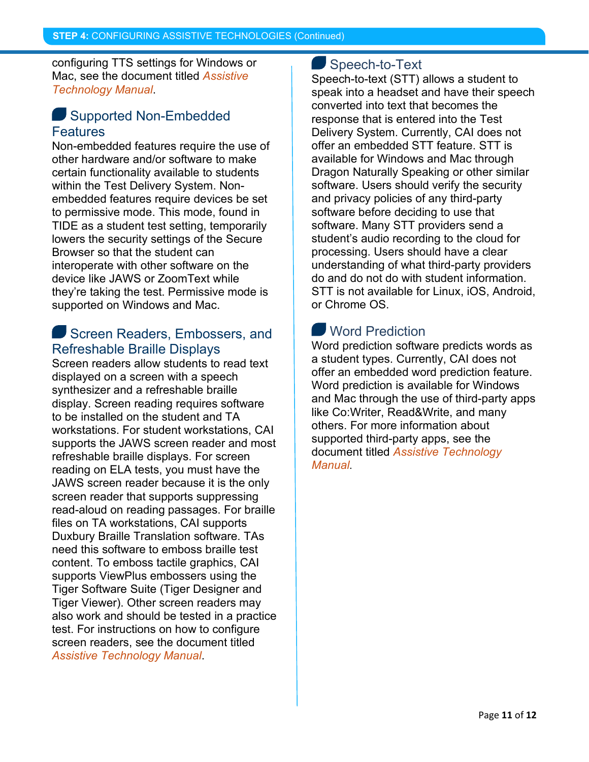configuring TTS settings for Windows or Mac, see the document titled *Assistive Technology Manual*.

#### Supported Non-Embedded **Features**

Non-embedded features require the use of other hardware and/or software to make certain functionality available to students within the Test Delivery System. Nonembedded features require devices be set to permissive mode. This mode, found in TIDE as a student test setting, temporarily lowers the security settings of the Secure Browser so that the student can interoperate with other software on the device like JAWS or ZoomText while they're taking the test. Permissive mode is supported on Windows and Mac.

#### Screen Readers, Embossers, and Refreshable Braille Displays

Screen readers allow students to read text displayed on a screen with a speech synthesizer and a refreshable braille display. Screen reading requires software to be installed on the student and TA workstations. For student workstations, CAI supports the JAWS screen reader and most refreshable braille displays. For screen reading on ELA tests, you must have the JAWS screen reader because it is the only screen reader that supports suppressing read-aloud on reading passages. For braille files on TA workstations, CAI supports Duxbury Braille Translation software. TAs need this software to emboss braille test content. To emboss tactile graphics, CAI supports ViewPlus embossers using the Tiger Software Suite (Tiger Designer and Tiger Viewer). Other screen readers may also work and should be tested in a practice test. For instructions on how to configure screen readers, see the document titled *Assistive Technology Manual*.

#### Speech-to-Text

Speech-to-text (STT) allows a student to speak into a headset and have their speech converted into text that becomes the response that is entered into the Test Delivery System. Currently, CAI does not offer an embedded STT feature. STT is available for Windows and Mac through Dragon Naturally Speaking or other similar software. Users should verify the security and privacy policies of any third-party software before deciding to use that software. Many STT providers send a student's audio recording to the cloud for processing. Users should have a clear understanding of what third-party providers do and do not do with student information. STT is not available for Linux, iOS, Android, or Chrome OS.

# **Word Prediction**

Word prediction software predicts words as a student types. Currently, CAI does not offer an embedded word prediction feature. Word prediction is available for Windows and Mac through the use of third-party apps like Co:Writer, Read&Write, and many others. For more information about supported third-party apps, see the document titled *Assistive Technology Manual*.